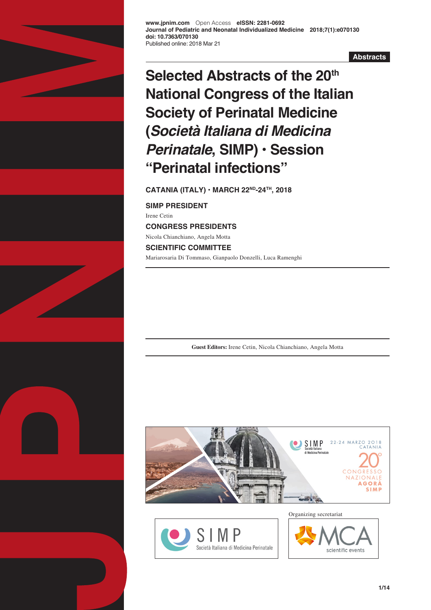

**www.jpnim.com** Open Access **eISSN: 2281-0692 Journal of Pediatric and Neonatal Individualized Medicine 2018;7(1):e070130 doi: 10.7363/070130** Published online: 2018 Mar 21

**Abstracts**

# **Selected Abstracts of the 20th National Congress of the Italian Society of Perinatal Medicine (***Società Italiana di Medicina Perinatale***, SIMP) • Session "Perinatal infections"**

**CATANIA (ITALY) • MARCH 22ND-24TH, 2018**

**SIMP PRESIDENT** Irene Cetin **CONGRESS PRESIDENTS** Nicola Chianchiano, Angela Motta **SCIENTIFIC COMMITTEE** Mariarosaria Di Tommaso, Gianpaolo Donzelli, Luca Ramenghi

**Guest Editors:** Irene Cetin, Nicola Chianchiano, Angela Motta





Organizing secretariat

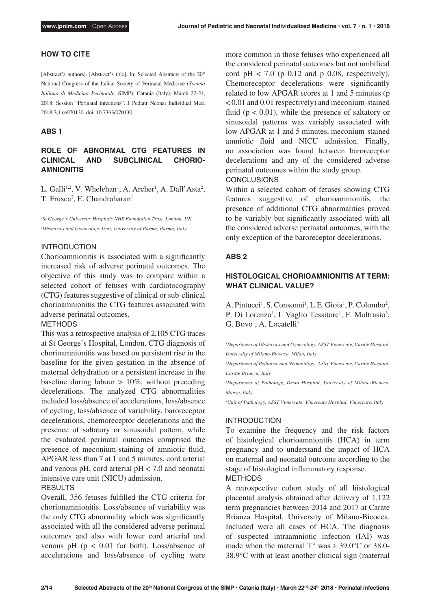## **HOW TO CITE**

[Abstract's authors]. [Abstract's title]. In: Selected Abstracts of the 20<sup>th</sup> National Congress of the Italian Society of Perinatal Medicine (*Società Italiana di Medicina Perinatale*, SIMP); Catania (Italy); March 22-24, 2018; Session "Perinatal infections". J Pediatr Neonat Individual Med. 2018;7(1):e070130. doi: 10.7363/070130.

#### **ABS 1**

# **ROLE OF ABNORMAL CTG FEATURES IN CLINICAL AND SUBCLINICAL CHORIO-AMNIONITIS**

L. Galli<sup>1,2</sup>, V. Whelehan<sup>1</sup>, A. Archer<sup>1</sup>, A. Dall'Asta<sup>2</sup>, T. Frusca<sup>2</sup>, E. Chandraharan<sup>1</sup>

*1 St George's University Hospitals NHS Foundation Trust, London, UK 2 Obstetrics and Gynecology Unit, University of Parma, Parma, Italy*

## INTRODUCTION

Chorioamnionitis is associated with a significantly increased risk of adverse perinatal outcomes. The objective of this study was to compare within a selected cohort of fetuses with cardiotocography (CTG) features suggestive of clinical or sub-clinical chorioamnionitis the CTG features associated with adverse perinatal outcomes.

## METHODS

This was a retrospective analysis of 2,105 CTG traces at St George's Hospital, London. CTG diagnosis of chorioamnionitis was based on persistent rise in the baseline for the given gestation in the absence of maternal dehydration or a persistent increase in the baseline during labour  $> 10\%$ , without preceding decelerations. The analyzed CTG abnormalities included loss/absence of accelerations, loss/absence of cycling, loss/absence of variability, baroreceptor decelerations, chemoreceptor decelerations and the presence of saltatory or sinusoidal pattern, while the evaluated perinatal outcomes comprised the presence of meconium-staining of amniotic fluid, APGAR less than 7 at 1 and 5 minutes, cord arterial and venous pH, cord arterial  $pH < 7.0$  and neonatal intensive care unit (NICU) admission.

## RESULTS

Overall, 356 fetuses fulfilled the CTG criteria for chorionamnionitis. Loss/absence of variability was the only CTG abnormality which was significantly associated with all the considered adverse perinatal outcomes and also with lower cord arterial and venous pH ( $p < 0.01$  for both). Loss/absence of accelerations and loss/absence of cycling were more common in those fetuses who experienced all the considered perinatal outcomes but not umbilical cord  $pH < 7.0$  (p 0.12 and p 0.08, respectively). Chemoreceptor decelerations were significantly related to low APGAR scores at 1 and 5 minutes (p < 0.01 and 0.01 respectively) and meconium-stained fluid ( $p < 0.01$ ), while the presence of saltatory or sinusoidal patterns was variably associated with low APGAR at 1 and 5 minutes, meconium-stained amniotic fluid and NICU admission. Finally, no association was found between baroreceptor decelerations and any of the considered adverse perinatal outcomes within the study group. **CONCLUSIONS** 

Within a selected cohort of fetuses showing CTG features suggestive of chorioamnionitis, the presence of additional CTG abnormalities proved to be variably but significantly associated with all the considered adverse perinatal outcomes, with the only exception of the baroreceptor decelerations.

# **ABS 2**

# **HISTOLOGICAL CHORIOAMNIONITIS AT TERM: WHAT CLINICAL VALUE?**

A. Pintucci<sup>1</sup>, S. Consonni<sup>1</sup>, L.E. Gioia<sup>1</sup>, P. Colombo<sup>2</sup>, P. Di Lorenzo<sup>1</sup>, I. Vaglio Tessitore<sup>1</sup>, F. Moltrasio<sup>3</sup>, G. Bovo<sup>4</sup>, A. Locatelli<sup>1</sup>

*1 Department of Obstetrics and Gynecology, ASST Vimercate, Carate Hospital, University of Milano-Bicocca, Milan, Italy*

*2 Department of Pediatric and Neonatology, ASST Vimercate, Carate Hospital, Carate Brianza, Italy*

*3 Department of Pathology, Desio Hospital, University of Milano-Bicocca, Monza, Italy*

*4 Unit of Pathology, ASST Vimercate, Vimercate Hospital, Vimercate, Italy*

#### INTRODUCTION

To examine the frequency and the risk factors of histological chorioamnionitis (HCA) in term pregnancy and to understand the impact of HCA on maternal and neonatal outcome according to the stage of histological inflammatory response. METHODS

A retrospective cohort study of all histological placental analysis obtained after delivery of 1,122 term pregnancies between 2014 and 2017 at Carate Brianza Hospital, University of Milano-Bicocca. Included were all cases of HCA. The diagnosis of suspected intraamniotic infection (IAI) was made when the maternal T° was  $\geq 39.0$ °C or 38.0-38.9°C with at least another clinical sign (maternal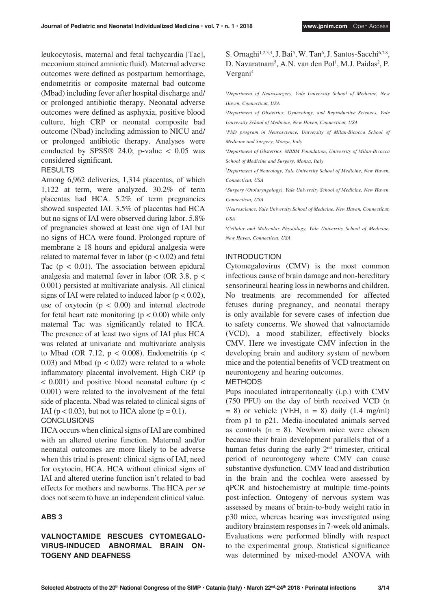leukocytosis, maternal and fetal tachycardia [Tac], meconium stained amniotic fluid). Maternal adverse outcomes were defined as postpartum hemorrhage, endometritis or composite maternal bad outcome (Mbad) including fever after hospital discharge and/ or prolonged antibiotic therapy. Neonatal adverse outcomes were defined as asphyxia, positive blood culture, high CRP or neonatal composite bad outcome (Nbad) including admission to NICU and/ or prolonged antibiotic therapy. Analyses were conducted by SPSS® 24.0; p-value  $< 0.05$  was considered significant.

# **RESULTS**

Among 6,962 deliveries, 1,314 placentas, of which 1,122 at term, were analyzed. 30.2% of term placentas had HCA. 5.2% of term pregnancies showed suspected IAI. 3.5% of placentas had HCA but no signs of IAI were observed during labor. 5.8% of pregnancies showed at least one sign of IAI but no signs of HCA were found. Prolonged rupture of membrane  $\geq$  18 hours and epidural analgesia were related to maternal fever in labor  $(p < 0.02)$  and fetal Tac  $(p < 0.01)$ . The association between epidural analgesia and maternal fever in labor (OR 3.8,  $p <$ 0.001) persisted at multivariate analysis. All clinical signs of IAI were related to induced labor ( $p < 0.02$ ), use of oxytocin  $(p < 0.00)$  and internal electrode for fetal heart rate monitoring ( $p < 0.00$ ) while only maternal Tac was significantly related to HCA. The presence of at least two signs of IAI plus HCA was related at univariate and multivariate analysis to Mbad (OR 7.12,  $p < 0.008$ ). Endometritis ( $p <$ 0.03) and Mbad ( $p < 0.02$ ) were related to a whole inflammatory placental involvement. High CRP (p  $< 0.001$ ) and positive blood neonatal culture ( $p <$ 0.001) were related to the involvement of the fetal side of placenta. Nbad was related to clinical signs of IAI ( $p < 0.03$ ), but not to HCA alone ( $p = 0.1$ ).

#### CONCLUSIONS

HCA occurs when clinical signs of IAI are combined with an altered uterine function. Maternal and/or neonatal outcomes are more likely to be adverse when this triad is present: clinical signs of IAI, need for oxytocin, HCA. HCA without clinical signs of IAI and altered uterine function isn't related to bad effects for mothers and newborns. The HCA *per se* does not seem to have an independent clinical value.

## **ABS 3**

# **VALNOCTAMIDE RESCUES CYTOMEGALO-VIRUS-INDUCED ABNORMAL BRAIN ON-TOGENY AND DEAFNESS**

# S. Ornaghi<sup>1,2,3,4</sup>, J. Bai<sup>5</sup>, W. Tan<sup>6</sup>, J. Santos-Sacchi<sup>6,7,8</sup>, D. Navaratnam<sup>5</sup>, A.N. van den Pol<sup>1</sup>, M.J. Paidas<sup>2</sup>, P. Vergani4

*1 Department of Neurosurgery, Yale University School of Medicine, New Haven, Connecticut, USA*

*2 Department of Obstetrics, Gynecology, and Reproductive Sciences, Yale University School of Medicine, New Haven, Connecticut, USA*

*3 PhD program in Neuroscience, University of Milan-Bicocca School of Medicine and Surgery, Monza, Italy*

*4 Department of Obstetrics, MBBM Foundation, University of Milan-Bicocca School of Medicine and Surgery, Monza, Italy*

*5 Department of Neurology, Yale University School of Medicine, New Haven, Connecticut, USA*

*6 Surgery (Otolaryngology), Yale University School of Medicine, New Haven, Connecticut, USA*

*7 Neuroscience, Yale University School of Medicine, New Haven, Connecticut, USA*

*8 Cellular and Molecular Physiology, Yale University School of Medicine, New Haven, Connecticut, USA*

## INTRODUCTION

Cytomegalovirus (CMV) is the most common infectious cause of brain damage and non-hereditary sensorineural hearing loss in newborns and children. No treatments are recommended for affected fetuses during pregnancy, and neonatal therapy is only available for severe cases of infection due to safety concerns. We showed that valnoctamide (VCD), a mood stabilizer, effectively blocks CMV. Here we investigate CMV infection in the developing brain and auditory system of newborn mice and the potential benefits of VCD treatment on neurontogeny and hearing outcomes.

#### METHODS

Pups inoculated intraperitoneally (i.p.) with CMV (750 PFU) on the day of birth received VCD (n  $= 8$ ) or vehicle (VEH,  $n = 8$ ) daily (1.4 mg/ml) from p1 to p21. Media-inoculated animals served as controls  $(n = 8)$ . Newborn mice were chosen because their brain development parallels that of a human fetus during the early 2<sup>nd</sup> trimester, critical period of neurontogeny where CMV can cause substantive dysfunction. CMV load and distribution in the brain and the cochlea were assessed by qPCR and histochemistry at multiple time-points post-infection. Ontogeny of nervous system was assessed by means of brain-to-body weight ratio in p30 mice, whereas hearing was investigated using auditory brainstem responses in 7-week old animals. Evaluations were performed blindly with respect to the experimental group. Statistical significance was determined by mixed-model ANOVA with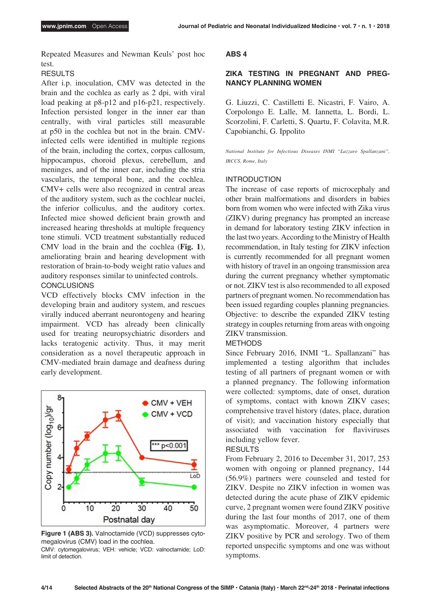Repeated Measures and Newman Keuls' post hoc test.

## RESULTS

After i.p. inoculation, CMV was detected in the brain and the cochlea as early as 2 dpi, with viral load peaking at p8-p12 and p16-p21, respectively. Infection persisted longer in the inner ear than centrally, with viral particles still measurable at p50 in the cochlea but not in the brain. CMVinfected cells were identified in multiple regions of the brain, including the cortex, corpus callosum, hippocampus, choroid plexus, cerebellum, and meninges, and of the inner ear, including the stria vascularis, the temporal bone, and the cochlea. CMV+ cells were also recognized in central areas of the auditory system, such as the cochlear nuclei, the inferior colliculus, and the auditory cortex. Infected mice showed deficient brain growth and increased hearing thresholds at multiple frequency tone stimuli. VCD treatment substantially reduced CMV load in the brain and the cochlea (**Fig. 1**), ameliorating brain and hearing development with restoration of brain-to-body weight ratio values and auditory responses similar to uninfected controls. **CONCLUSIONS** 

VCD effectively blocks CMV infection in the developing brain and auditory system, and rescues virally induced aberrant neurontogeny and hearing impairment. VCD has already been clinically used for treating neuropsychiatric disorders and lacks teratogenic activity. Thus, it may merit consideration as a novel therapeutic approach in CMV-mediated brain damage and deafness during early development.



**Figure 1 (ABS 3).** Valnoctamide (VCD) suppresses cytomegalovirus (CMV) load in the cochlea. CMV: cytomegalovirus; VEH: vehicle; VCD: valnoctamide; LoD:

limit of detection.

#### **ABS 4**

# **ZIKA TESTING IN PREGNANT AND PREG-NANCY PLANNING WOMEN**

G. Liuzzi, C. Castilletti E. Nicastri, F. Vairo, A. Corpolongo E. Lalle, M. Iannetta, L. Bordi, L. Scorzolini, F. Carletti, S. Quartu, F. Colavita, M.R. Capobianchi, G. Ippolito

*National Institute for Infectious Diseases INMI "Lazzaro Spallanzani", IRCCS, Rome, Italy*

#### INTRODUCTION

The increase of case reports of microcephaly and other brain malformations and disorders in babies born from women who were infected with Zika virus (ZIKV) during pregnancy has prompted an increase in demand for laboratory testing ZIKV infection in the last two years. According to the Ministry of Health recommendation, in Italy testing for ZIKV infection is currently recommended for all pregnant women with history of travel in an ongoing transmission area during the current pregnancy whether symptomatic or not. ZIKV test is also recommended to all exposed partners of pregnant women. No recommendation has been issued regarding couples planning pregnancies. Objective: to describe the expanded ZIKV testing strategy in couples returning from areas with ongoing ZIKV transmission.

#### METHODS

Since February 2016, INMI "L. Spallanzani" has implemented a testing algorithm that includes testing of all partners of pregnant women or with a planned pregnancy. The following information were collected: symptoms, date of onset, duration of symptoms, contact with known ZIKV cases; comprehensive travel history (dates, place, duration of visit); and vaccination history especially that associated with vaccination for flaviviruses including yellow fever.

#### RESULTS

From February 2, 2016 to December 31, 2017, 253 women with ongoing or planned pregnancy, 144 (56.9%) partners were counseled and tested for ZIKV. Despite no ZIKV infection in women was detected during the acute phase of ZIKV epidemic curve, 2 pregnant women were found ZIKV positive during the last four months of 2017, one of them was asymptomatic. Moreover, 4 partners were ZIKV positive by PCR and serology. Two of them reported unspecific symptoms and one was without symptoms.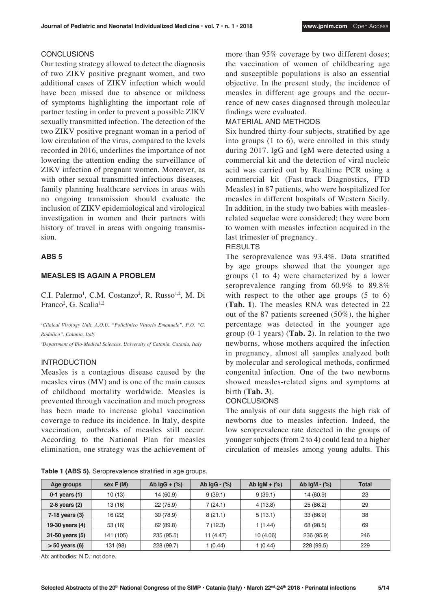#### **CONCLUSIONS**

Our testing strategy allowed to detect the diagnosis of two ZIKV positive pregnant women, and two additional cases of ZIKV infection which would have been missed due to absence or mildness of symptoms highlighting the important role of partner testing in order to prevent a possible ZIKV sexually transmitted infection. The detection of the two ZIKV positive pregnant woman in a period of low circulation of the virus, compared to the levels recorded in 2016, underlines the importance of not lowering the attention ending the surveillance of ZIKV infection of pregnant women. Moreover, as with other sexual transmitted infectious diseases. family planning healthcare services in areas with no ongoing transmission should evaluate the inclusion of ZIKV epidemiological and virological investigation in women and their partners with history of travel in areas with ongoing transmission.

## **ABS 5**

#### **MEASLES IS AGAIN A PROBLEM**

C.I. Palermo<sup>1</sup>, C.M. Costanzo<sup>2</sup>, R. Russo<sup>1,2</sup>, M. Di Franco<sup>2</sup>, G. Scalia<sup>1,2</sup>

*1 Clinical Virology Unit, A.O.U. "Policlinico Vittorio Emanuele", P.O. "G. Rodolico", Catania, Italy 2 Department of Bio-Medical Sciences, University of Catania, Catania, Italy*

#### INTRODUCTION

Measles is a contagious disease caused by the measles virus (MV) and is one of the main causes of childhood mortality worldwide. Measles is prevented through vaccination and much progress has been made to increase global vaccination coverage to reduce its incidence. In Italy, despite vaccination, outbreaks of measles still occur. According to the National Plan for measles elimination, one strategy was the achievement of

**Table 1 (ABS 5).** Seroprevalence stratified in age groups.

more than 95% coverage by two different doses; the vaccination of women of childbearing age and susceptible populations is also an essential objective. In the present study, the incidence of measles in different age groups and the occurrence of new cases diagnosed through molecular findings were evaluated.

#### MATERIAL AND METHODS

Six hundred thirty-four subjects, stratified by age into groups (1 to 6), were enrolled in this study during 2017. IgG and IgM were detected using a commercial kit and the detection of viral nucleic acid was carried out by Realtime PCR using a commercial kit (Fast-track Diagnostics, FTD Measles) in 87 patients, who were hospitalized for measles in different hospitals of Western Sicily. In addition, in the study two babies with measlesrelated sequelae were considered; they were born to women with measles infection acquired in the last trimester of pregnancy.

# RESULTS

The seroprevalence was 93.4%. Data stratified by age groups showed that the younger age groups (1 to 4) were characterized by a lower seroprevalence ranging from 60.9% to 89.8% with respect to the other age groups  $(5 \text{ to } 6)$ (**Tab. 1**). The measles RNA was detected in 22 out of the 87 patients screened (50%), the higher percentage was detected in the younger age group (0-1 years) (**Tab. 2**). In relation to the two newborns, whose mothers acquired the infection in pregnancy, almost all samples analyzed both by molecular and serological methods, confirmed congenital infection. One of the two newborns showed measles-related signs and symptoms at birth (**Tab. 3**).

#### **CONCLUSIONS**

The analysis of our data suggests the high risk of newborns due to measles infection. Indeed, the low seroprevalence rate detected in the groups of younger subjects (from 2 to 4) could lead to a higher circulation of measles among young adults. This

| Age groups         | sex F(M)  | Ab $lgG + (\%)$ | Ab $lgG - (\%)$ | Ab $lgM + (\%)$ | Ab $lgM - (\%)$ | <b>Total</b> |
|--------------------|-----------|-----------------|-----------------|-----------------|-----------------|--------------|
| $0-1$ years $(1)$  | 10 (13)   | 14 (60.9)       | 9(39.1)         | 9(39.1)         | 14 (60.9)       | 23           |
| $2-6$ years $(2)$  | 13 (16)   | 22(75.9)        | 7(24.1)         | 4(13.8)         | 25(86.2)        | 29           |
| $7-18$ years $(3)$ | 16 (22)   | 30(78.9)        | 8(21.1)         | 5(13.1)         | 33(86.9)        | 38           |
| 19-30 years (4)    | 53 (16)   | 62 (89.8)       | 7 (12.3)        | 1(1.44)         | 68 (98.5)       | 69           |
| 31-50 years (5)    | 141 (105) | 235 (95.5)      | 11 (4.47)       | 10(4.06)        | 236 (95.9)      | 246          |
| $>$ 50 years (6)   | 131 (98)  | 228 (99.7)      | 1 (0.44)        | 1(0.44)         | 228 (99.5)      | 229          |

Ab: antibodies; N.D.: not done.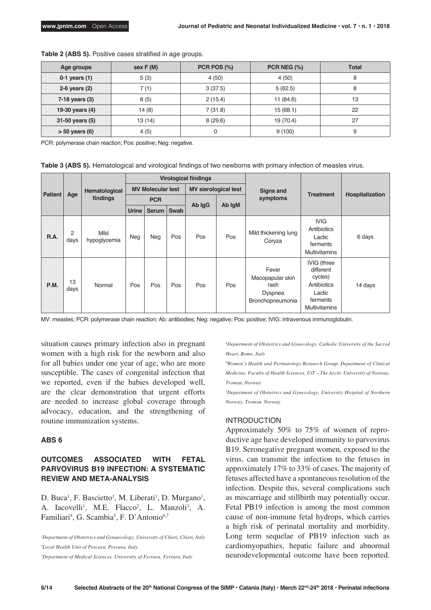| Age groups         | sex F(M) | PCR POS (%) | PCR NEG $(\%)$ | <b>Total</b> |
|--------------------|----------|-------------|----------------|--------------|
| 0-1 years $(1)$    | 5(3)     | 4(50)       | 4(50)          | 8            |
| 2-6 years $(2)$    | 7(1)     | 3(37.5)     |                | 8            |
| $7-18$ years $(3)$ | 8(5)     | 2(15.4)     | 11 (84.6)      | 13           |
| 19-30 years (4)    | 14(8)    | 7(31.8)     | 15(68.1)       | 22           |
| 31-50 years (5)    | 13 (14)  | 8(29.6)     | 19 (70.4)      | 27           |
| $> 50$ years (6)   | 4(5)     | 0           | 9(100)         | 9            |

**Table 2 (ABS 5).** Positive cases stratified in age groups.

PCR: polymerase chain reaction; Pos: positive; Neg: negative.

**Table 3 (ABS 5).** Hematological and virological findings of two newborns with primary infection of measles virus.

|                | Hematological<br>Age<br>findings | <b>Virological findings</b> |                          |              |                             |        |                  |                                                                  |                                                                                                         |         |
|----------------|----------------------------------|-----------------------------|--------------------------|--------------|-----------------------------|--------|------------------|------------------------------------------------------------------|---------------------------------------------------------------------------------------------------------|---------|
| <b>Patient</b> |                                  |                             | <b>MV Molecular test</b> |              | <b>MV sierological test</b> |        | <b>Signs and</b> |                                                                  |                                                                                                         |         |
|                |                                  |                             | <b>PCR</b>               |              |                             |        | symptoms         | <b>Treatment</b>                                                 | Hospitalization                                                                                         |         |
|                |                                  |                             | <b>Urine</b>             | <b>Serum</b> | <b>Swab</b>                 | Ab IgG | Ab IgM           |                                                                  |                                                                                                         |         |
| R.A.           | 2<br>days                        | Mild<br>hypoglycemia        | Neg                      | <b>Neg</b>   | Pos                         | Pos    | Pos              | Mild thickening lung<br>Coryza                                   | <b>IVIG</b><br>Antibiotics<br>Lactic<br>ferments<br><b>Multivitamins</b>                                | 6 days  |
| <b>P.M.</b>    | 13<br>days                       | Normal                      | Pos                      | Pos          | Pos                         | Pos    | Pos              | Fever<br>Macopapular skin<br>rash<br>Dyspnea<br>Bronchopneumonia | <b>IVIG</b> (three<br>different<br>cycles)<br>Antibiotics<br>Lactic<br>ferments<br><b>Multivitamins</b> | 14 days |

MV: measles; PCR: polymerase chain reaction; Ab: antibodies; Neg: negative; Pos: positive; IVIG: intravenous immunoglobulin.

situation causes primary infection also in pregnant women with a high risk for the newborn and also for all babies under one year of age, who are more susceptible. The cases of congenital infection that we reported, even if the babies developed well, are the clear demonstration that urgent efforts are needed to increase global coverage through advocacy, education, and the strengthening of routine immunization systems.

#### **ABS 6**

# **OUTCOMES ASSOCIATED WITH FETAL PARVOVIRUS B19 INFECTION: A SYSTEMATIC REVIEW AND META-ANALYSIS**

D. Buca<sup>1</sup>, F. Bascietto<sup>1</sup>, M. Liberati<sup>1</sup>, D. Murgano<sup>1</sup>, A. Iacovelli<sup>1</sup>, M.E. Flacco<sup>2</sup>, L. Manzoli<sup>3</sup>, A. Familiari<sup>4</sup>, G. Scambia<sup>5</sup>, F. D'Antonio<sup>6,7</sup>

*1 Department of Obstetrics and Gynaecology, University of Chieti, Chieti, Italy 2 Local Health Unit of Pescara, Pescara, Italy*

*3 Department of Medical Sciences, University of Ferrara, Ferrara, Italy*

*4 Department of Obstetrics and Gynecology, Catholic University of the Sacred Heart, Rome, Italy*

*6 Women's Health and Perinatology Research Group, Department of Clinical Medicine, Faculty of Health Sciences, UiT – The Arctic University of Norway, Tromsø, Norway*

*7 Department of Obstetrics and Gynecology, University Hospital of Northern Norway, Tromsø, Norway*

#### INTRODUCTION

Approximately 50% to 75% of women of reproductive age have developed immunity to parvovirus B19. Seronegative pregnant women, exposed to the virus, can transmit the infection to the fetuses in approximately 17% to 33% of cases. The majority of fetuses affected have a spontaneous resolution of the infection. Despite this, several complications such as miscarriage and stillbirth may potentially occur. Fetal PB19 infection is among the most common cause of non-immune fetal hydrops, which carries a high risk of perinatal mortality and morbidity. Long term sequelae of PB19 infection such as cardiomyopathies, hepatic failure and abnormal neurodevelopmental outcome have been reported.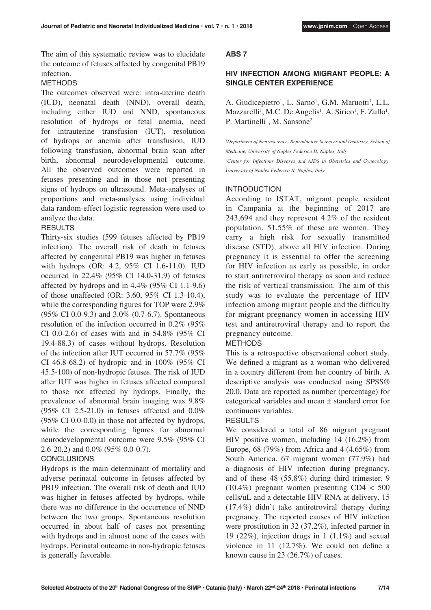The aim of this systematic review was to elucidate the outcome of fetuses affected by congenital PB19 infection.

#### METHODS

The outcomes observed were: intra-uterine death (IUD), neonatal death (NND), overall death, including either IUD and NND, spontaneous resolution of hydrops or fetal anemia, need for intrauterine transfusion (IUT), resolution of hydrops or anemia after transfusion, IUD following transfusion, abnormal brain scan after birth, abnormal neurodevelopmental outcome. All the observed outcomes were reported in fetuses presenting and in those not presenting signs of hydrops on ultrasound. Meta-analyses of proportions and meta-analyses using individual data random-effect logistic regression were used to analyze the data.

#### **RESULTS**

Thirty-six studies (599 fetuses affected by PB19 infection). The overall risk of death in fetuses affected by congenital PB19 was higher in fetuses with hydrops (OR: 4.2, 95% CI 1.6-11.0). IUD occurred in 22.4% (95% CI 14.0-31.9) of fetuses affected by hydrops and in 4.4% (95% CI 1.1-9.6) of those unaffected (OR: 3.60, 95% CI 1.3-10.4), while the corresponding figures for TOP were 2.9% (95% CI 0.0-9.3) and 3.0% (0.7-6.7). Spontaneous resolution of the infection occurred in 0.2% (95% CI 0.0-2.6) of cases with and in 54.8% (95% CI 19.4-88.3) of cases without hydrops. Resolution of the infection after IUT occurred in 57.7% (95% CI 46.8-68.2) of hydropic and in 100% (95% CI 45.5-100) of non-hydropic fetuses. The risk of IUD after IUT was higher in fetuses affected compared to those not affected by hydrops. Finally, the prevalence of abnormal brain imaging was 9.8% (95% CI 2.5-21.0) in fetuses affected and 0.0% (95% CI 0.0-0.0) in those not affected by hydrops, while the corresponding figures for abnormal neurodevelopmental outcome were 9.5% (95% CI 2.6-20.2) and 0.0% (95% 0.0-0.7).

#### **CONCLUSIONS**

Hydrops is the main determinant of mortality and adverse perinatal outcome in fetuses affected by PB19 infection. The overall risk of death and IUD was higher in fetuses affected by hydrops, while there was no difference in the occurrence of NND between the two groups. Spontaneous resolution occurred in about half of cases not presenting with hydrops and in almost none of the cases with hydrops. Perinatal outcome in non-hydropic fetuses is generally favorable.

#### **ABS 7**

# **HIV INFECTION AMONG MIGRANT PEOPLE: A SINGLE CENTER EXPERIENCE**

A. Giudicepietro<sup>1</sup>, L. Sarno<sup>1</sup>, G.M. Maruotti<sup>1</sup>, L.L. Mazzarelli<sup>1</sup>, M.C. De Angelis<sup>1</sup>, A. Sirico<sup>1</sup>, F. Zullo<sup>1</sup>, P. Martinelli<sup>1</sup>, M. Sansone<sup>2</sup>

<sup>1</sup>Department of Neuroscience, Reproductive Sciences and Dentistry, School of *Medicine, University of Naples Federico II, Naples, Italy*

*2 Center for Infectious Diseases and AIDS in Obstetrics and Gynecology, University of Naples Federico II, Naples, Italy*

#### INTRODUCTION

According to ISTAT, migrant people resident in Campania at the beginning of 2017 are 243,694 and they represent 4.2% of the resident population. 51.55% of these are women. They carry a high risk for sexually transmitted disease (STD), above all HIV infection. During pregnancy it is essential to offer the screening for HIV infection as early as possible, in order to start antiretroviral therapy as soon and reduce the risk of vertical transmission. The aim of this study was to evaluate the percentage of HIV infection among migrant people and the difficulty for migrant pregnancy women in accessing HIV test and antiretroviral therapy and to report the pregnancy outcome.

## **METHODS**

This is a retrospective observational cohort study. We defined a migrant as a woman who delivered in a country different from her country of birth. A descriptive analysis was conducted using SPSS® 20.0. Data are reported as number (percentage) for categorical variables and mean ± standard error for continuous variables.

#### RESULTS

We considered a total of 86 migrant pregnant HIV positive women, including 14 (16.2%) from Europe, 68 (79%) from Africa and 4 (4.65%) from South America. 67 migrant women (77.9%) had a diagnosis of HIV infection during pregnancy, and of these 48 (55.8%) during third trimester. 9  $(10.4\%)$  pregnant women presenting CD4 < 500 cells/uL and a detectable HIV-RNA at delivery. 15 (17.4%) didn't take antiretroviral therapy during pregnancy. The reported causes of HIV infection were prostitution in 32 (37.2%), infected partner in 19 (22%), injection drugs in 1 (1.1%) and sexual violence in 11 (12.7%). We could not define a known cause in 23 (26.7%) of cases.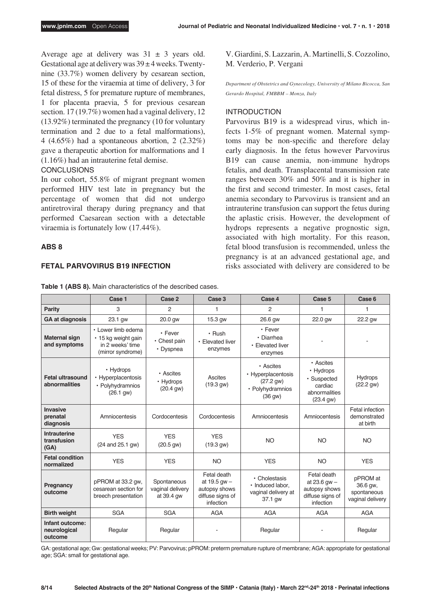Average age at delivery was  $31 \pm 3$  years old. Gestational age at delivery was  $39 \pm 4$  weeks. Twentynine (33.7%) women delivery by cesarean section, 15 of these for the viraemia at time of delivery, 3 for fetal distress, 5 for premature rupture of membranes, 1 for placenta praevia, 5 for previous cesarean section. 17 (19.7%) women had a vaginal delivery, 12 (13.92%) terminated the pregnancy (10 for voluntary termination and 2 due to a fetal malformations), 4 (4.65%) had a spontaneous abortion, 2 (2.32%) gave a therapeutic abortion for malformations and 1 (1.16%) had an intrauterine fetal demise.

## **CONCLUSIONS**

In our cohort, 55.8% of migrant pregnant women performed HIV test late in pregnancy but the percentage of women that did not undergo antiretroviral therapy during pregnancy and that performed Caesarean section with a detectable viraemia is fortunately low (17.44%).

## **ABS 8**

#### **FETAL PARVOVIRUS B19 INFECTION**

V. Giardini, S. Lazzarin, A. Martinelli, S. Cozzolino, M. Verderio, P. Vergani

*Department of Obstetrics and Gynecology, University of Milano Bicocca, San Gerardo Hospital, FMBBM – Monza, Italy*

#### INTRODUCTION

Parvovirus B19 is a widespread virus, which infects 1-5% of pregnant women. Maternal symptoms may be non-specific and therefore delay early diagnosis. In the fetus however Parvovirus B19 can cause anemia, non-immune hydrops fetalis, and death. Transplacental transmission rate ranges between 30% and 50% and it is higher in the first and second trimester. In most cases, fetal anemia secondary to Parvovirus is transient and an intrauterine transfusion can support the fetus during the aplastic crisis. However, the development of hydrops represents a negative prognostic sign, associated with high mortality. For this reason, fetal blood transfusion is recommended, unless the pregnancy is at an advanced gestational age, and risks associated with delivery are considered to be

|                                            | Case 1                                                                             | Case 2                                        | Case 3                                                                            | Case 4                                                                       | Case 5                                                                                   | Case 6                                                  |
|--------------------------------------------|------------------------------------------------------------------------------------|-----------------------------------------------|-----------------------------------------------------------------------------------|------------------------------------------------------------------------------|------------------------------------------------------------------------------------------|---------------------------------------------------------|
| Parity                                     | 3                                                                                  | 2                                             | 1                                                                                 | 2                                                                            | 1                                                                                        | 1                                                       |
| <b>GA at diagnosis</b>                     | 23.1 gw                                                                            | 20.0 gw                                       | 15.3 gw                                                                           | 26.6 gw                                                                      | 22.0 gw                                                                                  | 22.2 gw                                                 |
| <b>Maternal sign</b><br>and symptoms       | • Lower limb edema<br>• 15 kg weight gain<br>in 2 weeks' time<br>(mirror syndrome) | • Fever<br>• Chest pain<br>• Dyspnea          | $\cdot$ Rush<br>• Elevated liver<br>enzymes                                       | • Fever<br>• Diarrhea<br>• Elevated liver<br>enzymes                         |                                                                                          |                                                         |
| <b>Fetal ultrasound</b><br>abnormalities   | • Hydrops<br>• Hyperplacentosis<br>• Polyhydramnios<br>(26.1 gw)                   | • Ascites<br>• Hydrops<br>$(20.4 \text{ gW})$ | Ascites<br>(19.3 gw)                                                              | • Ascites<br>• Hyperplacentosis<br>(27.2 g w)<br>• Polyhydramnios<br>(36 gw) | • Ascites<br>• Hydrops<br>· Suspected<br>cardiac<br>abnormalities<br>$(23.4 \text{ gW})$ | <b>Hydrops</b><br>(22.2 gw)                             |
| Invasive<br>prenatal<br>diagnosis          | Amniocentesis                                                                      | Cordocentesis                                 | Cordocentesis                                                                     | Amniocentesis                                                                | Amniocentesis                                                                            | Fetal infection<br>demonstrated<br>at birth             |
| Intrauterine<br>transfusion<br>(GA)        | <b>YES</b><br>(24 and 25.1 gw)                                                     | <b>YES</b><br>(20.5 gw)                       | <b>YES</b><br>(19.3 gw)                                                           | <b>NO</b>                                                                    | <b>NO</b>                                                                                | <b>NO</b>                                               |
| <b>Fetal condition</b><br>normalized       | <b>YES</b>                                                                         | <b>YES</b>                                    | <b>NO</b>                                                                         | <b>YES</b>                                                                   | <b>NO</b>                                                                                | <b>YES</b>                                              |
| Pregnancy<br>outcome                       | pPROM at 33.2 gw,<br>cesarean section for<br>breech presentation                   | Spontaneous<br>vaginal delivery<br>at 39.4 gw | Fetal death<br>at $19.5$ gw $-$<br>autopsy shows<br>diffuse signs of<br>infection | • Cholestasis<br>· Induced labor,<br>vaginal delivery at<br>37.1 gw          | Fetal death<br>at $23.6$ gw $-$<br>autopsy shows<br>diffuse signs of<br>infection        | pPROM at<br>36.6 gw,<br>spontaneous<br>vaginal delivery |
| <b>Birth weight</b>                        | <b>SGA</b>                                                                         | <b>SGA</b>                                    | <b>AGA</b>                                                                        | <b>AGA</b>                                                                   | <b>AGA</b>                                                                               | <b>AGA</b>                                              |
| Infant outcome:<br>neurological<br>outcome | Regular                                                                            | Regular                                       |                                                                                   | Regular                                                                      |                                                                                          | Regular                                                 |

**Table 1 (ABS 8).** Main characteristics of the described cases.

GA: gestational age; Gw: gestational weeks; PV: Parvovirus; pPROM: preterm premature rupture of membrane; AGA: appropriate for gestational age; SGA: small for gestational age.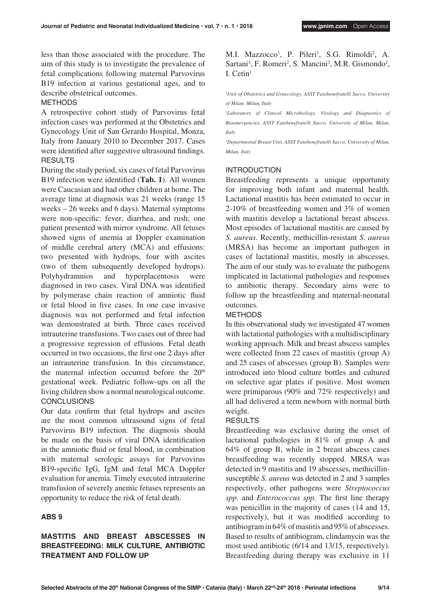less than those associated with the procedure. The aim of this study is to investigate the prevalence of fetal complications following maternal Parvovirus B19 infection at various gestational ages, and to describe obstetrical outcomes.

#### METHODS

A retrospective cohort study of Parvovirus fetal infection cases was performed at the Obstetrics and Gynecology Unit of San Gerardo Hospital, Monza, Italy from January 2010 to December 2017. Cases were identified after suggestive ultrasound findings. RESULTS

During the study period, six cases of fetal Parvovirus B19 infection were identified (**Tab. 1**). All women were Caucasian and had other children at home. The average time at diagnosis was 21 weeks (range 15 weeks – 26 weeks and 6 days). Maternal symptoms were non-specific: fever, diarrhea, and rush; one patient presented with mirror syndrome. All fetuses showed signs of anemia at Doppler examination of middle cerebral artery (MCA) and effusions: two presented with hydrops, four with ascites (two of them subsequently developed hydrops). Polyhydramnios and hyperplacentosis were diagnosed in two cases. Viral DNA was identified by polymerase chain reaction of amniotic fluid or fetal blood in five cases. In one case invasive diagnosis was not performed and fetal infection was demonstrated at birth. Three cases received intrauterine transfusions. Two cases out of three had a progressive regression of effusions. Fetal death occurred in two occasions, the first one 2 days after an intrauterine transfusion. In this circumstance, the maternal infection occurred before the  $20<sup>th</sup>$ gestational week. Pediatric follow-ups on all the living children show a normal neurological outcome. **CONCLUSIONS** 

Our data confirm that fetal hydrops and ascites are the most common ultrasound signs of fetal Parvovirus B19 infection. The diagnosis should be made on the basis of viral DNA identification in the amniotic fluid or fetal blood, in combination with maternal serologic assays for Parvovirus B19-specific IgG, IgM and fetal MCA Doppler evaluation for anemia. Timely executed intrauterine transfusion of severely anemic fetuses represents an opportunity to reduce the risk of fetal death.

## **ABS 9**

# **MASTITIS AND BREAST ABSCESSES IN BREASTFEEDING: MILK CULTURE, ANTIBIOTIC TREATMENT AND FOLLOW UP**

M.I. Mazzocco<sup>1</sup>, P. Pileri<sup>1</sup>, S.G. Rimoldi<sup>2</sup>, A. Sartani<sup>3</sup>, F. Romeri<sup>2</sup>, S. Mancini<sup>3</sup>, M.R. Gismondo<sup>2</sup>, I.  $Cetin<sup>1</sup>$ 

*1 Unit of Obstetrics and Gynecology, ASST Fatebenefratelli Sacco, University of Milan, Milan, Italy*

*2 Laboratory of Clinical Microbiology, Virology and Diagnostics of Bioemergencies, ASST Fatebenefratelli Sacco, University of Milan, Milan, Italy*

*3 Departmental Breast Unit, ASST Fatebenefratelli Sacco, University of Milan, Milan, Italy*

## INTRODUCTION

Breastfeeding represents a unique opportunity for improving both infant and maternal health. Lactational mastitis has been estimated to occur in 2-10% of breastfeeding women and 3% of women with mastitis develop a lactational breast abscess. Most episodes of lactational mastitis are caused by *S. aureus*. Recently, methicillin-resistant *S. aureus* (MRSA) has become an important pathogen in cases of lactational mastitis, mostly in abscesses. The aim of our study was to evaluate the pathogens implicated in lactational pathologies and responses to antibiotic therapy. Secondary aims were to follow up the breastfeeding and maternal-neonatal outcomes.

## METHODS

In this observational study we investigated 47 women with lactational pathologies with a multidisciplinary working approach. Milk and breast abscess samples were collected from 22 cases of mastitis (group A) and 25 cases of abscesses (group B). Samples were introduced into blood culture bottles and cultured on selective agar plates if positive. Most women were primiparous (90% and 72% respectively) and all had delivered a term newborn with normal birth weight.

## RESULTS

Breastfeeding was exclusive during the onset of lactational pathologies in 81% of group A and 64% of group B, while in 2 breast abscess cases breastfeeding was recently stopped. MRSA was detected in 9 mastitis and 19 abscesses, methicillinsusceptible *S. aureus* was detected in 2 and 3 samples respectively, other pathogens were *Streptococcus spp.* and *Enterococcus spp.* The first line therapy was penicillin in the majority of cases (14 and 15, respectively), but it was modified according to antibiogram in 64% of mastitis and 95% of abscesses. Based to results of antibiogram, clindamycin was the most used antibiotic (6/14 and 13/15, respectively). Breastfeeding during therapy was exclusive in 11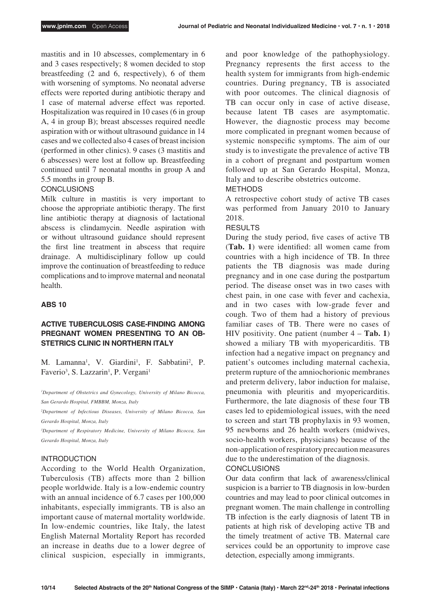mastitis and in 10 abscesses, complementary in 6 and 3 cases respectively; 8 women decided to stop breastfeeding (2 and 6, respectively), 6 of them with worsening of symptoms. No neonatal adverse effects were reported during antibiotic therapy and 1 case of maternal adverse effect was reported. Hospitalization was required in 10 cases (6 in group A, 4 in group B); breast abscesses required needle aspiration with or without ultrasound guidance in 14 cases and we collected also 4 cases of breast incision (performed in other clinics). 9 cases (3 mastitis and 6 abscesses) were lost at follow up. Breastfeeding continued until 7 neonatal months in group A and 5.5 months in group B.

## **CONCLUSIONS**

Milk culture in mastitis is very important to choose the appropriate antibiotic therapy. The first line antibiotic therapy at diagnosis of lactational abscess is clindamycin. Needle aspiration with or without ultrasound guidance should represent the first line treatment in abscess that require drainage. A multidisciplinary follow up could improve the continuation of breastfeeding to reduce complications and to improve maternal and neonatal health.

## **ABS 10**

# **ACTIVE TUBERCULOSIS CASE-FINDING AMONG PREGNANT WOMEN PRESENTING TO AN OB-STETRICS CLINIC IN NORTHERN ITALY**

M. Lamanna<sup>1</sup>, V. Giardini<sup>1</sup>, F. Sabbatini<sup>2</sup>, P. Faverio<sup>3</sup>, S. Lazzarin<sup>1</sup>, P. Vergani<sup>1</sup>

<sup>1</sup>Department of Obstetrics and Gynecology, University of Milano Bicocca, *San Gerardo Hospital, FMBBM, Monza, Italy*

*2 Department of Infectious Diseases, University of Milano Bicocca, San Gerardo Hospital, Monza, Italy*

*3 Department of Respiratory Medicine, University of Milano Bicocca, San Gerardo Hospital, Monza, Italy*

## INTRODUCTION

According to the World Health Organization, Tuberculosis (TB) affects more than 2 billion people worldwide. Italy is a low-endemic country with an annual incidence of 6.7 cases per 100,000 inhabitants, especially immigrants. TB is also an important cause of maternal mortality worldwide. In low-endemic countries, like Italy, the latest English Maternal Mortality Report has recorded an increase in deaths due to a lower degree of clinical suspicion, especially in immigrants, and poor knowledge of the pathophysiology. Pregnancy represents the first access to the health system for immigrants from high-endemic countries. During pregnancy, TB is associated with poor outcomes. The clinical diagnosis of TB can occur only in case of active disease, because latent TB cases are asymptomatic. However, the diagnostic process may become more complicated in pregnant women because of systemic nonspecific symptoms. The aim of our study is to investigate the prevalence of active TB in a cohort of pregnant and postpartum women followed up at San Gerardo Hospital, Monza, Italy and to describe obstetrics outcome.

## METHODS

A retrospective cohort study of active TB cases was performed from January 2010 to January 2018.

#### RESULTS

During the study period, five cases of active TB (**Tab. 1**) were identified: all women came from countries with a high incidence of TB. In three patients the TB diagnosis was made during pregnancy and in one case during the postpartum period. The disease onset was in two cases with chest pain, in one case with fever and cachexia, and in two cases with low-grade fever and cough. Two of them had a history of previous familiar cases of TB. There were no cases of HIV positivity. One patient (number 4 – **Tab. 1**) showed a miliary TB with myopericarditis. TB infection had a negative impact on pregnancy and patient's outcomes including maternal cachexia, preterm rupture of the amniochorionic membranes and preterm delivery, labor induction for malaise, pneumonia with pleuritis and myopericarditis. Furthermore, the late diagnosis of these four TB cases led to epidemiological issues, with the need to screen and start TB prophylaxis in 93 women, 95 newborns and 26 health workers (midwives, socio-health workers, physicians) because of the non-application of respiratory precaution measures due to the underestimation of the diagnosis. CONCLUSIONS

# Our data confirm that lack of awareness/clinical suspicion is a barrier to TB diagnosis in low-burden countries and may lead to poor clinical outcomes in pregnant women. The main challenge in controlling TB infection is the early diagnosis of latent TB in patients at high risk of developing active TB and the timely treatment of active TB. Maternal care services could be an opportunity to improve case detection, especially among immigrants.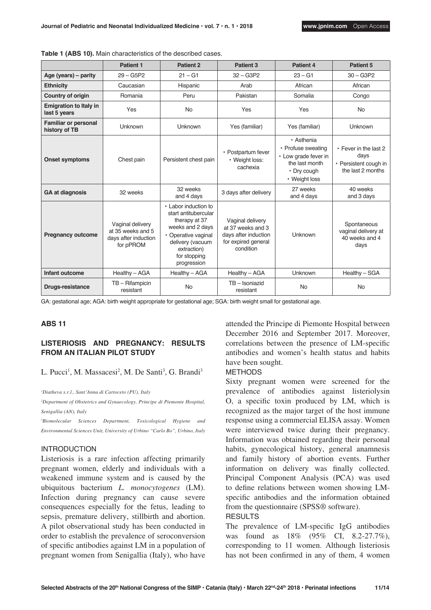|                                               | <b>Patient 1</b>                                                           | <b>Patient 2</b>                                                                                                                                                           | Patient <sub>3</sub>                                                                              | Patient 4                                                                                                  | Patient 5                                                                   |
|-----------------------------------------------|----------------------------------------------------------------------------|----------------------------------------------------------------------------------------------------------------------------------------------------------------------------|---------------------------------------------------------------------------------------------------|------------------------------------------------------------------------------------------------------------|-----------------------------------------------------------------------------|
| Age (years) - parity                          | $29 - G5P2$                                                                | $21 - G1$                                                                                                                                                                  | $32 - G3P2$                                                                                       | $23 - G1$                                                                                                  | $30 - G3P2$                                                                 |
| <b>Ethnicity</b>                              | Caucasian                                                                  | Hispanic                                                                                                                                                                   | Arab                                                                                              | African                                                                                                    | African                                                                     |
| <b>Country of origin</b>                      | Romania                                                                    | Peru                                                                                                                                                                       | Pakistan                                                                                          | Somalia                                                                                                    | Congo                                                                       |
| <b>Emigration to Italy in</b><br>last 5 years | Yes                                                                        | <b>No</b>                                                                                                                                                                  | Yes                                                                                               | Yes                                                                                                        | <b>No</b>                                                                   |
| <b>Familiar or personal</b><br>history of TB  | Unknown                                                                    | <b>Unknown</b>                                                                                                                                                             | Yes (familiar)                                                                                    | Yes (familiar)                                                                                             | Unknown                                                                     |
| <b>Onset symptoms</b>                         | Chest pain                                                                 | Persistent chest pain                                                                                                                                                      | • Postpartum fever<br>• Weight loss:<br>cachexia                                                  | • Asthenia<br>• Profuse sweating<br>• Low grade fever in<br>the last month<br>• Dry cough<br>• Weight loss | • Fever in the last 2<br>days<br>• Persistent cough in<br>the last 2 months |
| <b>GA at diagnosis</b><br>32 weeks            |                                                                            | 32 weeks<br>and 4 days                                                                                                                                                     | 3 days after delivery                                                                             | 27 weeks<br>and 4 days                                                                                     | 40 weeks<br>and 3 days                                                      |
| <b>Pregnancy outcome</b>                      | Vaginal delivery<br>at 35 weeks and 5<br>days after induction<br>for pPROM | • Labor induction to<br>start antitubercular<br>therapy at 37<br>weeks and 2 days<br>• Operative vaginal<br>delivery (vacuum<br>extraction)<br>for stopping<br>progression | Vaginal delivery<br>at 37 weeks and 3<br>days after induction<br>for expired general<br>condition | Unknown                                                                                                    | Spontaneous<br>vaginal delivery at<br>40 weeks and 4<br>days                |
| Infant outcome                                | Healthy - AGA                                                              | Healthy - AGA                                                                                                                                                              | Healthy - AGA                                                                                     | Unknown                                                                                                    | Healthy - SGA                                                               |
| <b>Drugs-resistance</b>                       | TB-Rifampicin<br>resistant                                                 | <b>No</b>                                                                                                                                                                  | TB-Isoniazid<br>resistant                                                                         | <b>No</b>                                                                                                  | <b>No</b>                                                                   |

**Table 1 (ABS 10).** Main characteristics of the described cases.

GA: gestational age; AGA: birth weight appropriate for gestational age; SGA: birth weight small for gestational age.

#### **ABS 11**

# **LISTERIOSIS AND PREGNANCY: RESULTS FROM AN ITALIAN PILOT STUDY**

#### L. Pucci<sup>1</sup>, M. Massacesi<sup>2</sup>, M. De Santi<sup>3</sup>, G. Brandi<sup>3</sup>

*1 Diatheva s.r.l., Sant'Anna di Cartoceto (PU), Italy*

*2 Department of Obstetrics and Gynaecology, Principe di Piemonte Hospital, Senigallia (AN), Italy*

*3 Biomolecular Sciences Department, Toxicological Hygiene and Environmental Sciences Unit, University of Urbino "Carlo Bo", Urbino, Italy*

#### INTRODUCTION

Listeriosis is a rare infection affecting primarily pregnant women, elderly and individuals with a weakened immune system and is caused by the ubiquitous bacterium *L. monocytogenes* (LM). Infection during pregnancy can cause severe consequences especially for the fetus, leading to sepsis, premature delivery, stillbirth and abortion. A pilot observational study has been conducted in order to establish the prevalence of seroconversion of specific antibodies against LM in a population of pregnant women from Senigallia (Italy), who have

attended the Principe di Piemonte Hospital between December 2016 and September 2017. Moreover, correlations between the presence of LM-specific antibodies and women's health status and habits have been sought.

#### METHODS

Sixty pregnant women were screened for the prevalence of antibodies against listeriolysin O, a specific toxin produced by LM, which is recognized as the major target of the host immune response using a commercial ELISA assay. Women were interviewed twice during their pregnancy. Information was obtained regarding their personal habits, gynecological history, general anamnesis and family history of abortion events. Further information on delivery was finally collected. Principal Component Analysis (PCA) was used to define relations between women showing LMspecific antibodies and the information obtained from the questionnaire (SPSS® software). RESULTS

# The prevalence of LM-specific IgG antibodies was found as 18% (95% CI, 8.2-27.7%), corresponding to 11 women. Although listeriosis

has not been confirmed in any of them, 4 women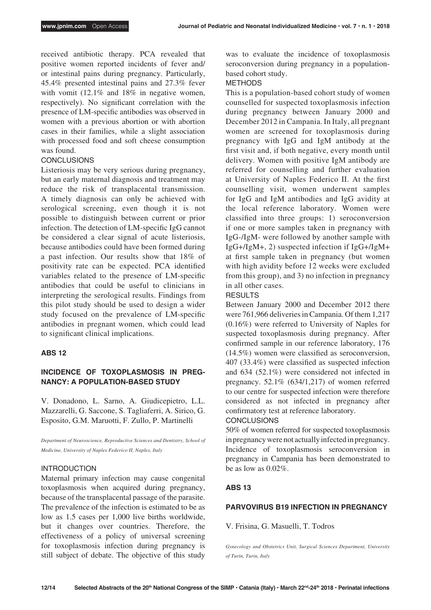received antibiotic therapy. PCA revealed that positive women reported incidents of fever and/ or intestinal pains during pregnancy. Particularly, 45.4% presented intestinal pains and 27.3% fever with vomit (12.1% and 18% in negative women, respectively). No significant correlation with the presence of LM-specific antibodies was observed in women with a previous abortion or with abortion cases in their families, while a slight association with processed food and soft cheese consumption was found.

#### **CONCLUSIONS**

Listeriosis may be very serious during pregnancy, but an early maternal diagnosis and treatment may reduce the risk of transplacental transmission. A timely diagnosis can only be achieved with serological screening, even though it is not possible to distinguish between current or prior infection. The detection of LM-specific IgG cannot be considered a clear signal of acute listeriosis, because antibodies could have been formed during a past infection. Our results show that 18% of positivity rate can be expected. PCA identified variables related to the presence of LM-specific antibodies that could be useful to clinicians in interpreting the serological results. Findings from this pilot study should be used to design a wider study focused on the prevalence of LM-specific antibodies in pregnant women, which could lead to significant clinical implications.

#### **ABS 12**

# **INCIDENCE OF TOXOPLASMOSIS IN PREG-NANCY: A POPULATION-BASED STUDY**

V. Donadono, L. Sarno, A. Giudicepietro, L.L. Mazzarelli, G. Saccone, S. Tagliaferri, A. Sirico, G. Esposito, G.M. Maruotti, F. Zullo, P. Martinelli

*Department of Neuroscience, Reproductive Sciences and Dentistry, School of Medicine, University of Naples Federico II, Naples, Italy*

#### INTRODUCTION

Maternal primary infection may cause congenital toxoplasmosis when acquired during pregnancy, because of the transplacental passage of the parasite. The prevalence of the infection is estimated to be as low as 1.5 cases per 1,000 live births worldwide, but it changes over countries. Therefore, the effectiveness of a policy of universal screening for toxoplasmosis infection during pregnancy is still subject of debate. The objective of this study was to evaluate the incidence of toxoplasmosis seroconversion during pregnancy in a populationbased cohort study.

# METHODS

This is a population-based cohort study of women counselled for suspected toxoplasmosis infection during pregnancy between January 2000 and December 2012 in Campania. In Italy, all pregnant women are screened for toxoplasmosis during pregnancy with IgG and IgM antibody at the first visit and, if both negative, every month until delivery. Women with positive IgM antibody are referred for counselling and further evaluation at University of Naples Federico II. At the first counselling visit, women underwent samples for IgG and IgM antibodies and IgG avidity at the local reference laboratory. Women were classified into three groups: 1) seroconversion if one or more samples taken in pregnancy with IgG-/IgM- were followed by another sample with IgG+/IgM+, 2) suspected infection if IgG+/IgM+ at first sample taken in pregnancy (but women with high avidity before 12 weeks were excluded from this group), and 3) no infection in pregnancy in all other cases.

## RESULTS

Between January 2000 and December 2012 there were 761,966 deliveries in Campania. Of them 1,217 (0.16%) were referred to University of Naples for suspected toxoplasmosis during pregnancy. After confirmed sample in our reference laboratory, 176 (14.5%) women were classified as seroconversion, 407 (33.4%) were classified as suspected infection and 634 (52.1%) were considered not infected in pregnancy. 52.1% (634/1,217) of women referred to our centre for suspected infection were therefore considered as not infected in pregnancy after confirmatory test at reference laboratory.

#### **CONCLUSIONS**

50% of women referred for suspected toxoplasmosis in pregnancy were not actually infected in pregnancy. Incidence of toxoplasmosis seroconversion in pregnancy in Campania has been demonstrated to be as low as  $0.02\%$ .

## **ABS 13**

#### **PARVOVIRUS B19 INFECTION IN PREGNANCY**

V. Frisina, G. Masuelli, T. Todros

*Gynecology and Obstetrics Unit, Surgical Sciences Department, University of Turin, Turin, Italy*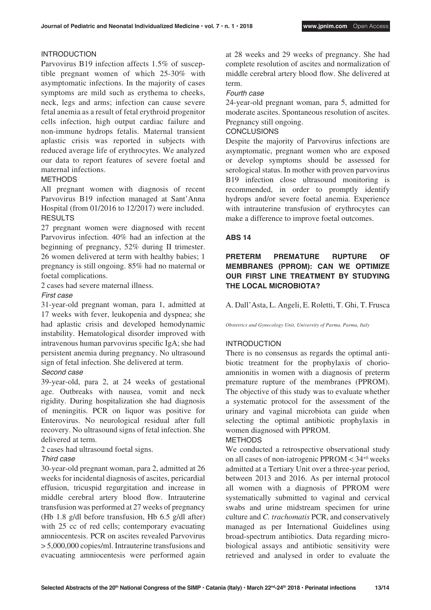# INTRODUCTION

Parvovirus B19 infection affects 1.5% of susceptible pregnant women of which 25-30% with asymptomatic infections. In the majority of cases symptoms are mild such as erythema to cheeks, neck, legs and arms; infection can cause severe fetal anemia as a result of fetal erythroid progenitor cells infection, high output cardiac failure and non-immune hydrops fetalis. Maternal transient aplastic crisis was reported in subjects with reduced average life of erythrocytes. We analyzed our data to report features of severe foetal and maternal infections.

## METHODS

All pregnant women with diagnosis of recent Parvovirus B19 infection managed at Sant'Anna Hospital (from 01/2016 to 12/2017) were included. **RESULTS** 

27 pregnant women were diagnosed with recent Parvovirus infection. 40% had an infection at the beginning of pregnancy, 52% during II trimester. 26 women delivered at term with healthy babies; 1 pregnancy is still ongoing. 85% had no maternal or foetal complications.

2 cases had severe maternal illness.

## *First case*

31-year-old pregnant woman, para 1, admitted at 17 weeks with fever, leukopenia and dyspnea; she had aplastic crisis and developed hemodynamic instability. Hematological disorder improved with intravenous human parvovirus specific IgA; she had persistent anemia during pregnancy. No ultrasound sign of fetal infection. She delivered at term.

# *Second case*

39-year-old, para 2, at 24 weeks of gestational age. Outbreaks with nausea, vomit and neck rigidity. During hospitalization she had diagnosis of meningitis. PCR on liquor was positive for Enterovirus. No neurological residual after full recovery. No ultrasound signs of fetal infection. She delivered at term.

2 cases had ultrasound foetal signs.

# *Third case*

30-year-old pregnant woman, para 2, admitted at 26 weeks for incidental diagnosis of ascites, pericardial effusion, tricuspid regurgitation and increase in middle cerebral artery blood flow. Intrauterine transfusion was performed at 27 weeks of pregnancy (Hb 1.8 g/dl before transfusion, Hb 6.5 g/dl after) with 25 cc of red cells; contemporary evacuating amniocentesis. PCR on ascites revealed Parvovirus > 5,000,000 copies/ml. Intrauterine transfusions and evacuating amniocentesis were performed again at 28 weeks and 29 weeks of pregnancy. She had complete resolution of ascites and normalization of middle cerebral artery blood flow. She delivered at term.

## *Fourth case*

24-year-old pregnant woman, para 5, admitted for moderate ascites. Spontaneous resolution of ascites. Pregnancy still ongoing.

# **CONCLUSIONS**

Despite the majority of Parvovirus infections are asymptomatic, pregnant women who are exposed or develop symptoms should be assessed for serological status. In mother with proven parvovirus B19 infection close ultrasound monitoring is recommended, in order to promptly identify hydrops and/or severe foetal anemia. Experience with intrauterine transfusion of erythrocytes can make a difference to improve foetal outcomes.

## **ABS 14**

# **PRETERM PREMATURE RUPTURE OF MEMBRANES (PPROM): CAN WE OPTIMIZE OUR FIRST LINE TREATMENT BY STUDYING THE LOCAL MICROBIOTA?**

A. Dall'Asta, L. Angeli, E. Roletti, T. Ghi, T. Frusca

*Obstetrics and Gynecology Unit, University of Parma, Parma, Italy*

# INTRODUCTION

There is no consensus as regards the optimal antibiotic treatment for the prophylaxis of chorioamnionitis in women with a diagnosis of preterm premature rupture of the membranes (PPROM). The objective of this study was to evaluate whether a systematic protocol for the assessment of the urinary and vaginal microbiota can guide when selecting the optimal antibiotic prophylaxis in women diagnosed with PPROM.

# **METHODS**

We conducted a retrospective observational study on all cases of non-iatrogenic PPROM < 34+0 weeks admitted at a Tertiary Unit over a three-year period, between 2013 and 2016. As per internal protocol all women with a diagnosis of PPROM were systematically submitted to vaginal and cervical swabs and urine midstream specimen for urine culture and *C. trachomatis* PCR, and conservatively managed as per International Guidelines using broad-spectrum antibiotics. Data regarding microbiological assays and antibiotic sensitivity were retrieved and analysed in order to evaluate the